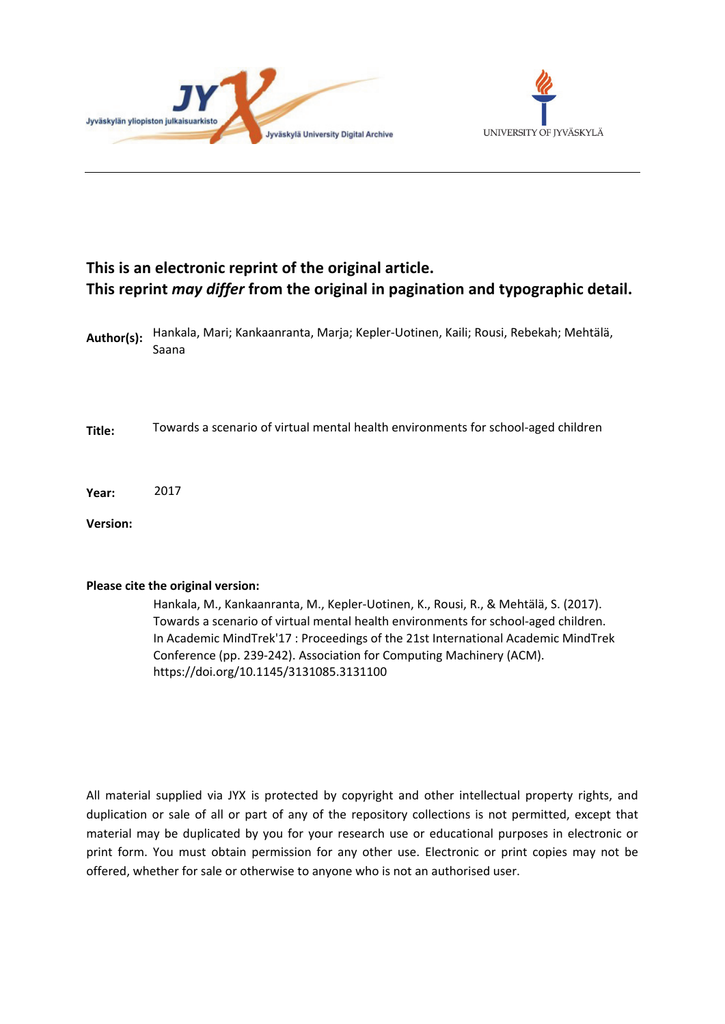



## **This is an electronic reprint of the original article. This reprint** *may differ* **from the original in pagination and typographic detail.**

**Author(s):**  Hankala, Mari; Kankaanranta, Marja; Kepler-Uotinen, Kaili; Rousi, Rebekah; Mehtälä, Saana

**Title:** Towards a scenario of virtual mental health environments for school-aged children

**Year:**  2017

**Version:**

## **Please cite the original version:**

Hankala, M., Kankaanranta, M., Kepler-Uotinen, K., Rousi, R., & Mehtälä, S. (2017). Towards a scenario of virtual mental health environments for school-aged children. In Academic MindTrek'17 : Proceedings of the 21st International Academic MindTrek Conference (pp. 239-242). Association for Computing Machinery (ACM). https://doi.org/10.1145/3131085.3131100

All material supplied via JYX is protected by copyright and other intellectual property rights, and duplication or sale of all or part of any of the repository collections is not permitted, except that material may be duplicated by you for your research use or educational purposes in electronic or print form. You must obtain permission for any other use. Electronic or print copies may not be offered, whether for sale or otherwise to anyone who is not an authorised user.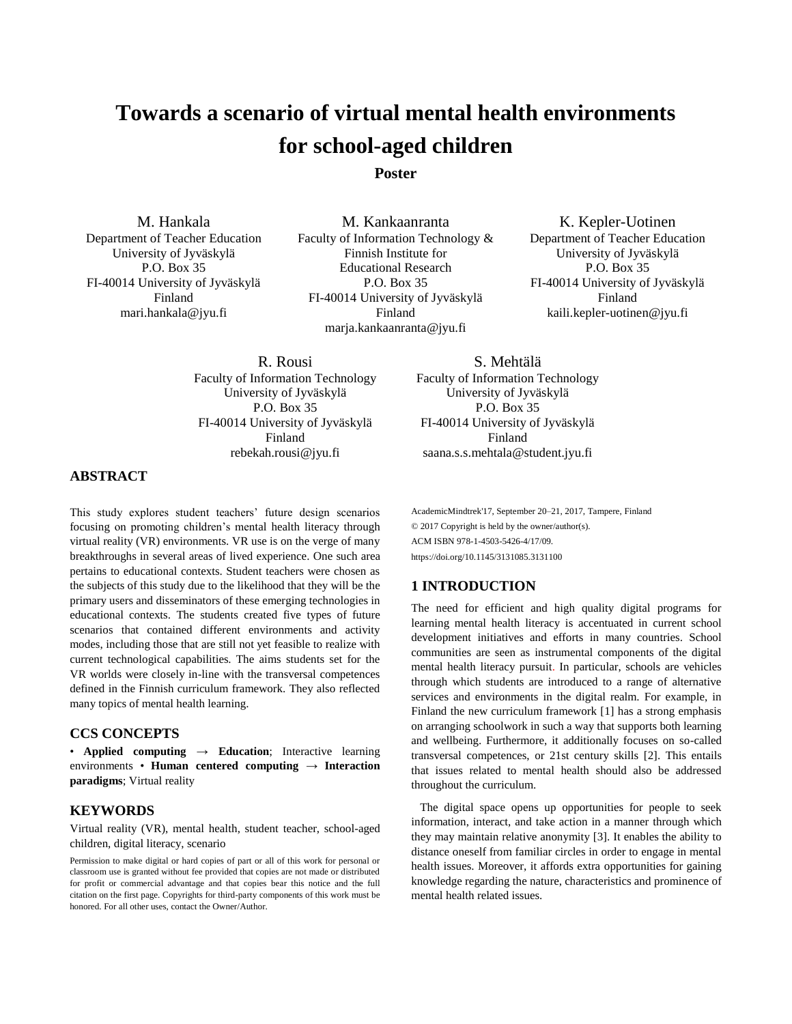# **Towards a scenario of virtual mental health environments for school-aged children**

## **Poster**

M. Hankala Department of Teacher Education University of Jyväskylä P.O. Box 35 FI-40014 University of Jyväskylä Finland mari.hankala@jyu.fi

M. Kankaanranta Faculty of Information Technology & Finnish Institute for Educational Research P.O. Box 35 FI-40014 University of Jyväskylä Finland marja.kankaanranta@jyu.fi

K. Kepler-Uotinen Department of Teacher Education University of Jyväskylä P.O. Box 35 FI-40014 University of Jyväskylä Finland kaili.kepler-uotinen@jyu.fi

R. Rousi Faculty of Information Technology University of Jyväskylä P.O. Box 35 FI-40014 University of Jyväskylä Finland rebekah.rousi@jyu.fi

S. Mehtälä Faculty of Information Technology University of Jyväskylä P.O. Box 35 FI-40014 University of Jyväskylä Finland saana.s.s.mehtala@student.jyu.fi

## **ABSTRACT**

This study explores student teachers' future design scenarios focusing on promoting children's mental health literacy through virtual reality (VR) environments. VR use is on the verge of many breakthroughs in several areas of lived experience. One such area pertains to educational contexts. Student teachers were chosen as the subjects of this study due to the likelihood that they will be the primary users and disseminators of these emerging technologies in educational contexts. The students created five types of future scenarios that contained different environments and activity modes, including those that are still not yet feasible to realize with current technological capabilities. The aims students set for the VR worlds were closely in-line with the transversal competences defined in the Finnish curriculum framework. They also reflected many topics of mental health learning.

#### **CCS CONCEPTS**

• **Applied computing** → **Education**; Interactive learning environments • **Human centered computing** → **Interaction paradigms**; Virtual reality

## **KEYWORDS**

Virtual reality (VR), mental health, student teacher, school-aged children, digital literacy, scenario

Permission to make digital or hard copies of part or all of this work for personal or classroom use is granted without fee provided that copies are not made or distributed for profit or commercial advantage and that copies bear this notice and the full citation on the first page. Copyrights for third-party components of this work must be honored. For all other uses, contact the Owner/Author.

AcademicMindtrek'17, September 20–21, 2017, Tampere, Finland © 2017 Copyright is held by the owner/author(s). ACM ISBN 978-1-4503-5426-4/17/09. https://doi.org/10.1145/3131085.3131100

## **1 INTRODUCTION**

The need for efficient and high quality digital programs for learning mental health literacy is accentuated in current school development initiatives and efforts in many countries. School communities are seen as instrumental components of the digital mental health literacy pursuit. In particular, schools are vehicles through which students are introduced to a range of alternative services and environments in the digital realm. For example, in Finland the new curriculum framework [1] has a strong emphasis on arranging schoolwork in such a way that supports both learning and wellbeing. Furthermore, it additionally focuses on so-called transversal competences, or 21st century skills [2]. This entails that issues related to mental health should also be addressed throughout the curriculum.

 The digital space opens up opportunities for people to seek information, interact, and take action in a manner through which they may maintain relative anonymity [3]. It enables the ability to distance oneself from familiar circles in order to engage in mental health issues. Moreover, it affords extra opportunities for gaining knowledge regarding the nature, characteristics and prominence of mental health related issues.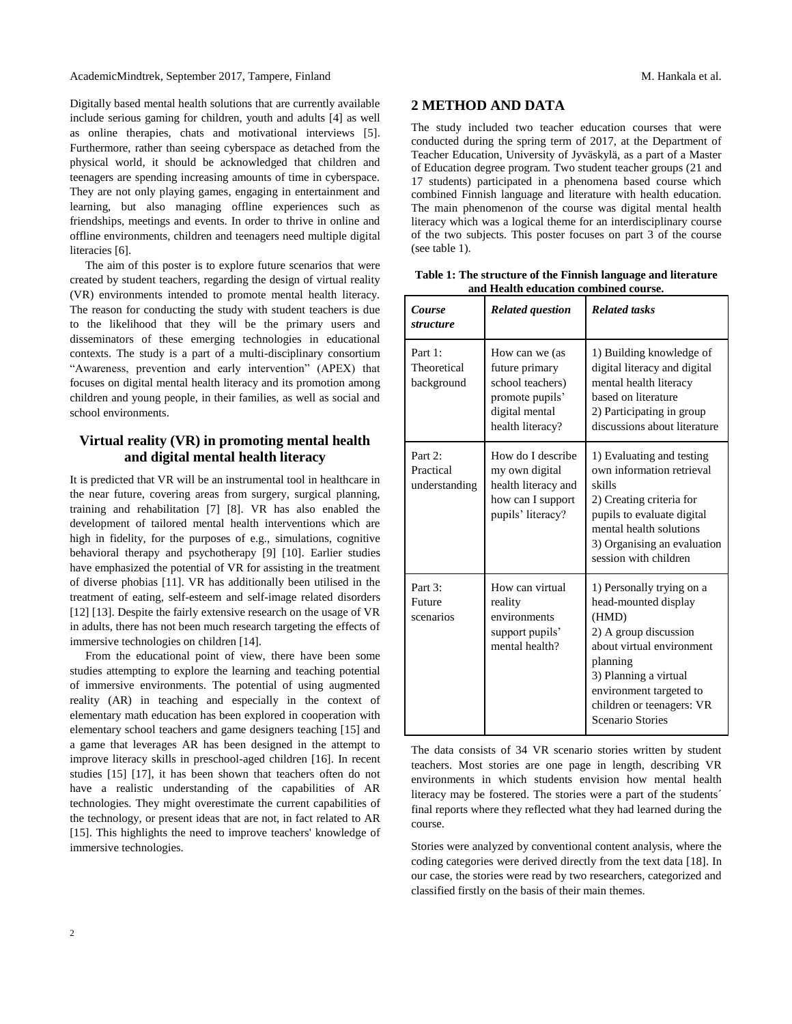Digitally based mental health solutions that are currently available include serious gaming for children, youth and adults [4] as well as online therapies, chats and motivational interviews [5]. Furthermore, rather than seeing cyberspace as detached from the physical world, it should be acknowledged that children and teenagers are spending increasing amounts of time in cyberspace. They are not only playing games, engaging in entertainment and learning, but also managing offline experiences such as friendships, meetings and events. In order to thrive in online and offline environments, children and teenagers need multiple digital literacies [6].

The aim of this poster is to explore future scenarios that were created by student teachers, regarding the design of virtual reality (VR) environments intended to promote mental health literacy. The reason for conducting the study with student teachers is due to the likelihood that they will be the primary users and disseminators of these emerging technologies in educational contexts. The study is a part of a multi-disciplinary consortium "Awareness, prevention and early intervention" (APEX) that focuses on digital mental health literacy and its promotion among children and young people, in their families, as well as social and school environments.

## **Virtual reality (VR) in promoting mental health and digital mental health literacy**

It is predicted that VR will be an instrumental tool in healthcare in the near future, covering areas from surgery, surgical planning, training and rehabilitation [7] [8]. VR has also enabled the development of tailored mental health interventions which are high in fidelity, for the purposes of e.g., simulations, cognitive behavioral therapy and psychotherapy [9] [10]. Earlier studies have emphasized the potential of VR for assisting in the treatment of diverse phobias [11]. VR has additionally been utilised in the treatment of eating, self-esteem and self-image related disorders [12] [13]. Despite the fairly extensive research on the usage of VR in adults, there has not been much research targeting the effects of immersive technologies on children [14].

From the educational point of view, there have been some studies attempting to explore the learning and teaching potential of immersive environments. The potential of using augmented reality (AR) in teaching and especially in the context of elementary math education has been explored in cooperation with elementary school teachers and game designers teaching [15] and a game that leverages AR has been designed in the attempt to improve literacy skills in preschool-aged children [16]. In recent studies [15] [17], it has been shown that teachers often do not have a realistic understanding of the capabilities of AR technologies. They might overestimate the current capabilities of the technology, or present ideas that are not, in fact related to AR [15]. This highlights the need to improve teachers' knowledge of immersive technologies.

## **2 METHOD AND DATA**

The study included two teacher education courses that were conducted during the spring term of 2017, at the Department of Teacher Education, University of Jyväskylä, as a part of a Master of Education degree program. Two student teacher groups (21 and 17 students) participated in a phenomena based course which combined Finnish language and literature with health education. The main phenomenon of the course was digital mental health literacy which was a logical theme for an interdisciplinary course of the two subjects. This poster focuses on part 3 of the course (see table 1).

| <b>Course</b><br>structure            | <b>Related question</b>                                                                                       | <b>Related tasks</b>                                                                                                                                                                                                              |
|---------------------------------------|---------------------------------------------------------------------------------------------------------------|-----------------------------------------------------------------------------------------------------------------------------------------------------------------------------------------------------------------------------------|
| Part 1:<br>Theoretical<br>background  | How can we (as<br>future primary<br>school teachers)<br>promote pupils'<br>digital mental<br>health literacy? | 1) Building knowledge of<br>digital literacy and digital<br>mental health literacy<br>based on literature<br>2) Participating in group<br>discussions about literature                                                            |
| Part 2:<br>Practical<br>understanding | How do I describe<br>my own digital<br>health literacy and<br>how can I support<br>pupils' literacy?          | 1) Evaluating and testing<br>own information retrieval<br>skills<br>2) Creating criteria for<br>pupils to evaluate digital<br>mental health solutions<br>3) Organising an evaluation<br>session with children                     |
| Part 3:<br>Future<br>scenarios        | How can virtual<br>reality<br>environments<br>support pupils'<br>mental health?                               | 1) Personally trying on a<br>head-mounted display<br>(HMD)<br>2) A group discussion<br>about virtual environment<br>planning<br>3) Planning a virtual<br>environment targeted to<br>children or teenagers: VR<br>Scenario Stories |

**Table 1: The structure of the Finnish language and literature and Health education combined course.**

The data consists of 34 VR scenario stories written by student teachers. Most stories are one page in length, describing VR environments in which students envision how mental health literacy may be fostered. The stories were a part of the students´ final reports where they reflected what they had learned during the course.

Stories were analyzed by conventional content analysis, where the coding categories were derived directly from the text data [18]. In our case, the stories were read by two researchers, categorized and classified firstly on the basis of their main themes.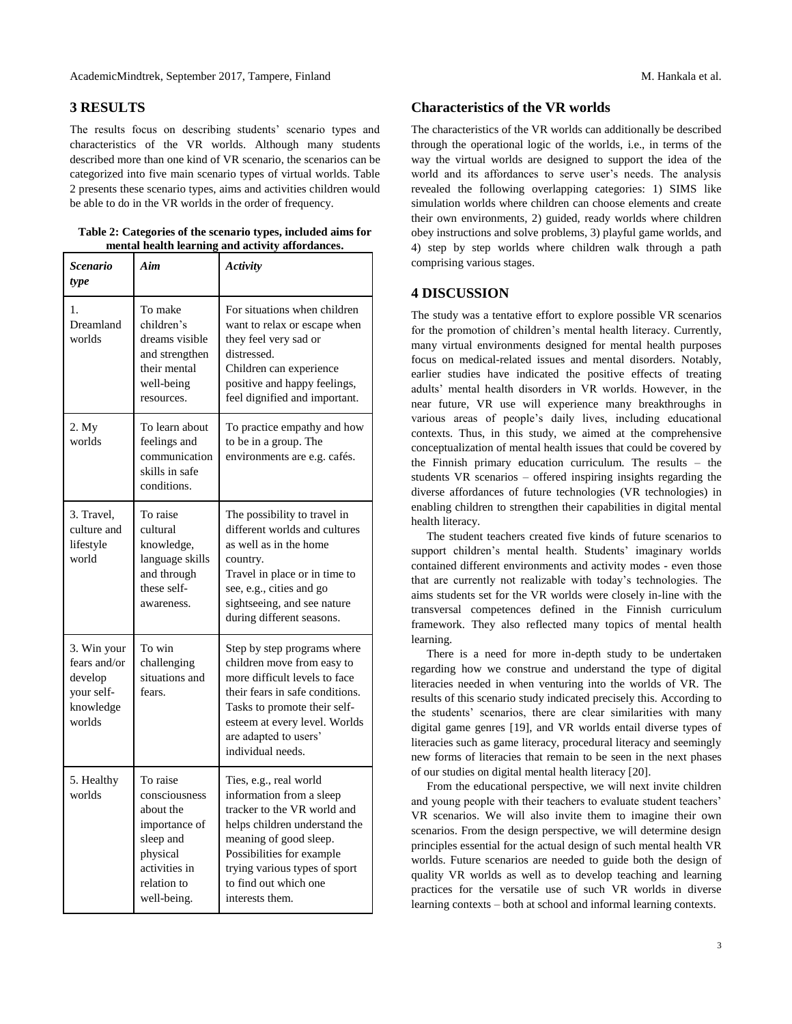AcademicMindtrek, September 2017, Tampere, Finland M. Hankala et al. M. Hankala et al.

#### **3 RESULTS**

The results focus on describing students' scenario types and characteristics of the VR worlds. Although many students described more than one kind of VR scenario, the scenarios can be categorized into five main scenario types of virtual worlds. Table 2 presents these scenario types, aims and activities children would be able to do in the VR worlds in the order of frequency.

| Table 2: Categories of the scenario types, included aims for |
|--------------------------------------------------------------|
| mental health learning and activity affordances.             |

| <b>Scenario</b><br>type                                                     | Aim                                                                                                                             | Activity                                                                                                                                                                                                                                               |
|-----------------------------------------------------------------------------|---------------------------------------------------------------------------------------------------------------------------------|--------------------------------------------------------------------------------------------------------------------------------------------------------------------------------------------------------------------------------------------------------|
| 1.<br>Dreamland<br>worlds                                                   | To make<br>children's<br>dreams visible<br>and strengthen<br>their mental<br>well-being<br>resources.                           | For situations when children<br>want to relax or escape when<br>they feel very sad or<br>distressed.<br>Children can experience<br>positive and happy feelings,<br>feel dignified and important.                                                       |
| 2. My<br>worlds                                                             | To learn about<br>feelings and<br>communication<br>skills in safe<br>conditions.                                                | To practice empathy and how<br>to be in a group. The<br>environments are e.g. cafés.                                                                                                                                                                   |
| 3. Travel,<br>culture and<br>lifestyle<br>world                             | To raise<br>cultural<br>knowledge,<br>language skills<br>and through<br>these self-<br>awareness.                               | The possibility to travel in<br>different worlds and cultures<br>as well as in the home<br>country.<br>Travel in place or in time to<br>see, e.g., cities and go<br>sightseeing, and see nature<br>during different seasons.                           |
| 3. Win your<br>fears and/or<br>develop<br>your self-<br>knowledge<br>worlds | To win<br>challenging<br>situations and<br>fears.                                                                               | Step by step programs where<br>children move from easy to<br>more difficult levels to face<br>their fears in safe conditions.<br>Tasks to promote their self-<br>esteem at every level. Worlds<br>are adapted to users'<br>individual needs.           |
| 5. Healthy<br>worlds                                                        | To raise<br>consciousness<br>about the<br>importance of<br>sleep and<br>physical<br>activities in<br>relation to<br>well-being. | Ties, e.g., real world<br>information from a sleep<br>tracker to the VR world and<br>helps children understand the<br>meaning of good sleep.<br>Possibilities for example<br>trying various types of sport<br>to find out which one<br>interests them. |

#### **Characteristics of the VR worlds**

The characteristics of the VR worlds can additionally be described through the operational logic of the worlds, i.e., in terms of the way the virtual worlds are designed to support the idea of the world and its affordances to serve user's needs. The analysis revealed the following overlapping categories: 1) SIMS like simulation worlds where children can choose elements and create their own environments, 2) guided, ready worlds where children obey instructions and solve problems, 3) playful game worlds, and 4) step by step worlds where children walk through a path comprising various stages.

#### **4 DISCUSSION**

The study was a tentative effort to explore possible VR scenarios for the promotion of children's mental health literacy. Currently, many virtual environments designed for mental health purposes focus on medical-related issues and mental disorders. Notably, earlier studies have indicated the positive effects of treating adults' mental health disorders in VR worlds. However, in the near future, VR use will experience many breakthroughs in various areas of people's daily lives, including educational contexts. Thus, in this study, we aimed at the comprehensive conceptualization of mental health issues that could be covered by the Finnish primary education curriculum. The results – the students VR scenarios – offered inspiring insights regarding the diverse affordances of future technologies (VR technologies) in enabling children to strengthen their capabilities in digital mental health literacy.

The student teachers created five kinds of future scenarios to support children's mental health. Students' imaginary worlds contained different environments and activity modes - even those that are currently not realizable with today's technologies. The aims students set for the VR worlds were closely in-line with the transversal competences defined in the Finnish curriculum framework. They also reflected many topics of mental health learning.

There is a need for more in-depth study to be undertaken regarding how we construe and understand the type of digital literacies needed in when venturing into the worlds of VR. The results of this scenario study indicated precisely this. According to the students' scenarios, there are clear similarities with many digital game genres [19], and VR worlds entail diverse types of literacies such as game literacy, procedural literacy and seemingly new forms of literacies that remain to be seen in the next phases of our studies on digital mental health literacy [20].

From the educational perspective, we will next invite children and young people with their teachers to evaluate student teachers' VR scenarios. We will also invite them to imagine their own scenarios. From the design perspective, we will determine design principles essential for the actual design of such mental health VR worlds. Future scenarios are needed to guide both the design of quality VR worlds as well as to develop teaching and learning practices for the versatile use of such VR worlds in diverse learning contexts – both at school and informal learning contexts.